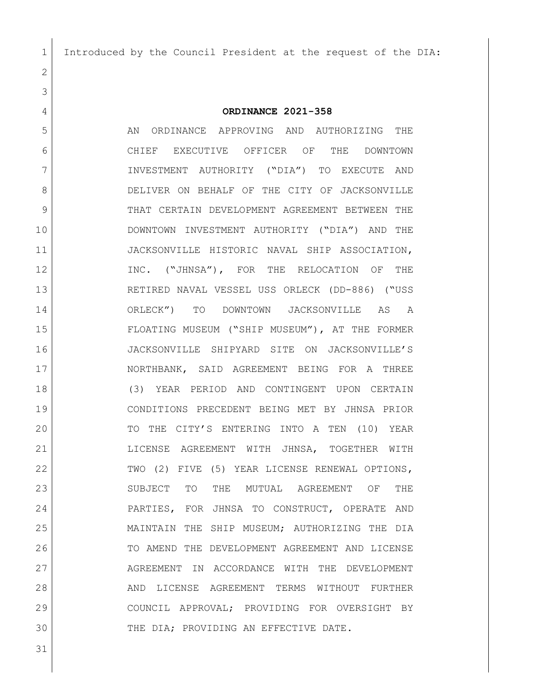Introduced by the Council President at the request of the DIA:

## 

## **ORDINANCE 2021-358**

5 AN ORDINANCE APPROVING AND AUTHORIZING THE CHIEF EXECUTIVE OFFICER OF THE DOWNTOWN INVESTMENT AUTHORITY ("DIA") TO EXECUTE AND 8 DELIVER ON BEHALF OF THE CITY OF JACKSONVILLE 9 THAT CERTAIN DEVELOPMENT AGREEMENT BETWEEN THE DOWNTOWN INVESTMENT AUTHORITY ("DIA") AND THE JACKSONVILLE HISTORIC NAVAL SHIP ASSOCIATION, 12 INC. ("JHNSA"), FOR THE RELOCATION OF THE RETIRED NAVAL VESSEL USS ORLECK (DD-886) ("USS ORLECK") TO DOWNTOWN JACKSONVILLE AS A FLOATING MUSEUM ("SHIP MUSEUM"), AT THE FORMER JACKSONVILLE SHIPYARD SITE ON JACKSONVILLE'S 17 NORTHBANK, SAID AGREEMENT BEING FOR A THREE (3) YEAR PERIOD AND CONTINGENT UPON CERTAIN CONDITIONS PRECEDENT BEING MET BY JHNSA PRIOR 20 TO THE CITY'S ENTERING INTO A TEN (10) YEAR LICENSE AGREEMENT WITH JHNSA, TOGETHER WITH 22 TWO (2) FIVE (5) YEAR LICENSE RENEWAL OPTIONS, 23 SUBJECT TO THE MUTUAL AGREEMENT OF THE PARTIES, FOR JHNSA TO CONSTRUCT, OPERATE AND MAINTAIN THE SHIP MUSEUM; AUTHORIZING THE DIA TO AMEND THE DEVELOPMENT AGREEMENT AND LICENSE 27 AGREEMENT IN ACCORDANCE WITH THE DEVELOPMENT 28 AND LICENSE AGREEMENT TERMS WITHOUT FURTHER COUNCIL APPROVAL; PROVIDING FOR OVERSIGHT BY THE DIA; PROVIDING AN EFFECTIVE DATE.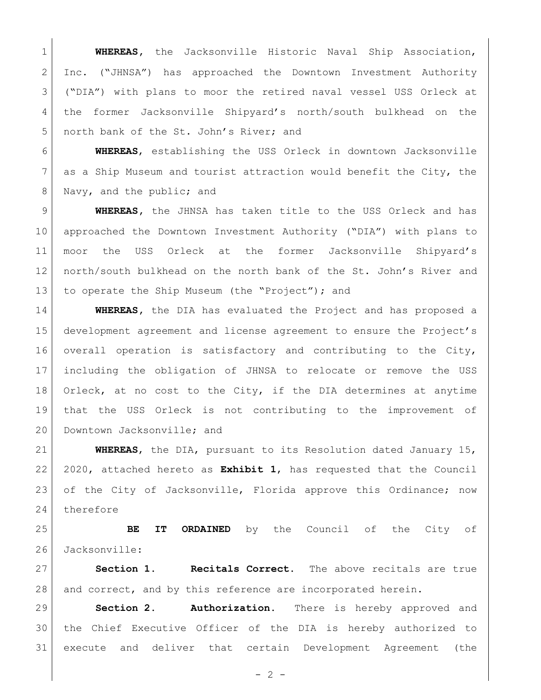**WHEREAS,** the Jacksonville Historic Naval Ship Association, Inc. ("JHNSA") has approached the Downtown Investment Authority ("DIA") with plans to moor the retired naval vessel USS Orleck at the former Jacksonville Shipyard's north/south bulkhead on the 5 north bank of the St. John's River; and

 **WHEREAS**, establishing the USS Orleck in downtown Jacksonville as a Ship Museum and tourist attraction would benefit the City, the 8 Navy, and the public; and

 **WHEREAS,** the JHNSA has taken title to the USS Orleck and has approached the Downtown Investment Authority ("DIA") with plans to moor the USS Orleck at the former Jacksonville Shipyard's north/south bulkhead on the north bank of the St. John's River and 13 to operate the Ship Museum (the "Project"); and

 **WHEREAS,** the DIA has evaluated the Project and has proposed a development agreement and license agreement to ensure the Project's overall operation is satisfactory and contributing to the City, including the obligation of JHNSA to relocate or remove the USS Orleck, at no cost to the City, if the DIA determines at anytime that the USS Orleck is not contributing to the improvement of 20 Downtown Jacksonville; and

 **WHEREAS**, the DIA, pursuant to its Resolution dated January 15, 2020, attached hereto as **Exhibit 1**, has requested that the Council of the City of Jacksonville, Florida approve this Ordinance; now therefore

 **BE IT ORDAINED** by the Council of the City of 26 Jacksonville:

 **Section 1. Recitals Correct.** The above recitals are true 28 and correct, and by this reference are incorporated herein.

 **Section 2. Authorization.** There is hereby approved and the Chief Executive Officer of the DIA is hereby authorized to execute and deliver that certain Development Agreement (the

 $- 2 -$